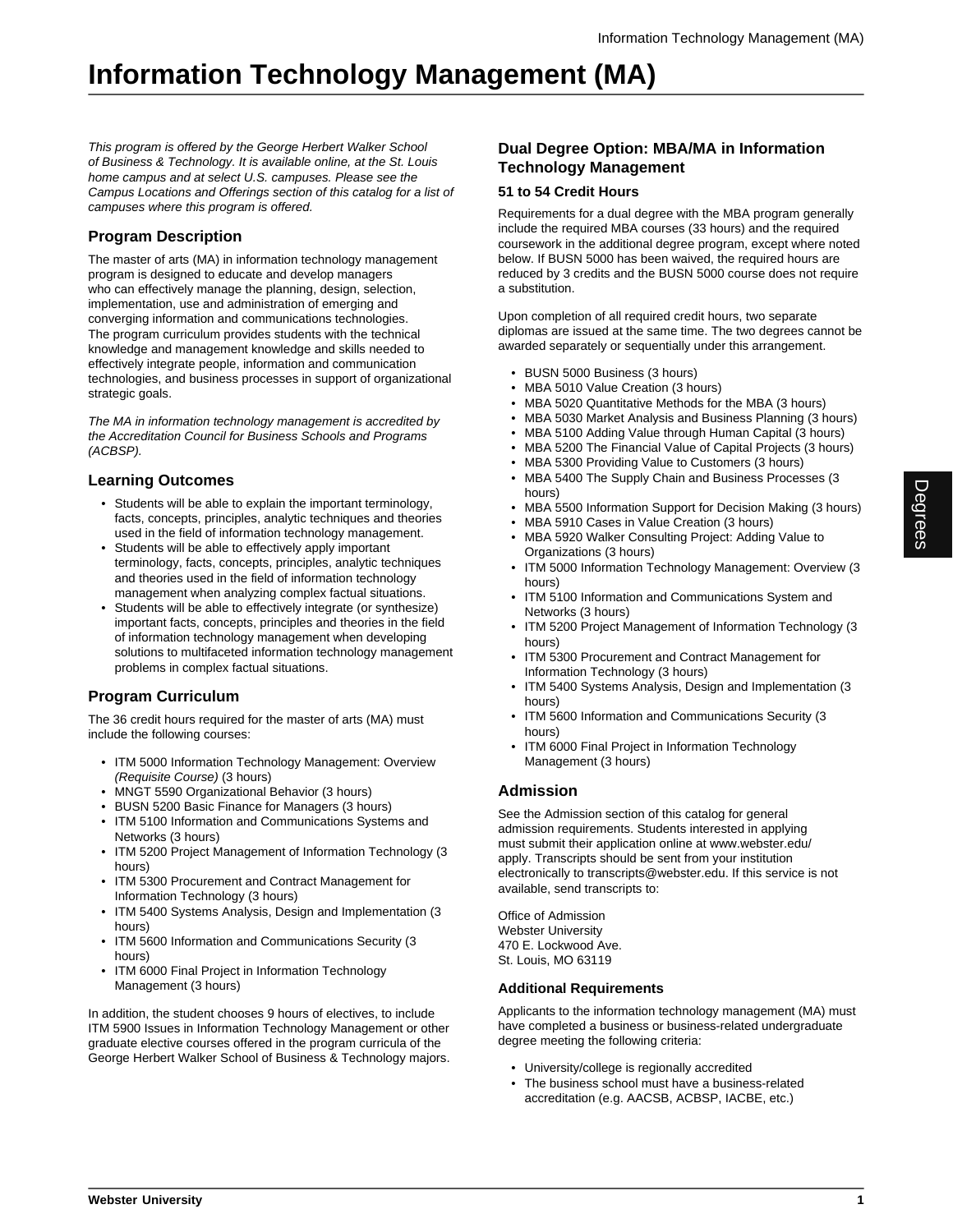# **Information Technology Management (MA)**

This program is offered by the George Herbert Walker School of Business & Technology. It is available online, at the St. Louis home campus and at select U.S. campuses. Please see the Campus Locations and Offerings section of this catalog for a list of campuses where this program is offered.

## **Program Description**

The master of arts (MA) in information technology management program is designed to educate and develop managers who can effectively manage the planning, design, selection, implementation, use and administration of emerging and converging information and communications technologies. The program curriculum provides students with the technical knowledge and management knowledge and skills needed to effectively integrate people, information and communication technologies, and business processes in support of organizational strategic goals.

The MA in information technology management is accredited by the Accreditation Council for Business Schools and Programs (ACBSP).

## **Learning Outcomes**

- Students will be able to explain the important terminology, facts, concepts, principles, analytic techniques and theories used in the field of information technology management.
- Students will be able to effectively apply important terminology, facts, concepts, principles, analytic techniques and theories used in the field of information technology management when analyzing complex factual situations.
- Students will be able to effectively integrate (or synthesize) important facts, concepts, principles and theories in the field of information technology management when developing solutions to multifaceted information technology management problems in complex factual situations.

## **Program Curriculum**

The 36 credit hours required for the master of arts (MA) must include the following courses:

- ITM 5000 Information Technology Management: Overview (Requisite Course) (3 hours)
- MNGT 5590 Organizational Behavior (3 hours)
- BUSN 5200 Basic Finance for Managers (3 hours)
- ITM 5100 Information and Communications Systems and Networks (3 hours)
- ITM 5200 Project Management of Information Technology (3 hours)
- ITM 5300 Procurement and Contract Management for Information Technology (3 hours)
- ITM 5400 Systems Analysis, Design and Implementation (3 hours)
- ITM 5600 Information and Communications Security (3 hours)
- ITM 6000 Final Project in Information Technology Management (3 hours)

In addition, the student chooses 9 hours of electives, to include ITM 5900 Issues in Information Technology Management or other graduate elective courses offered in the program curricula of the George Herbert Walker School of Business & Technology majors.

### **Dual Degree Option: MBA/MA in Information Technology Management**

#### **51 to 54 Credit Hours**

Requirements for a dual degree with the MBA program generally include the required MBA courses (33 hours) and the required coursework in the additional degree program, except where noted below. If BUSN 5000 has been waived, the required hours are reduced by 3 credits and the BUSN 5000 course does not require a substitution.

Upon completion of all required credit hours, two separate diplomas are issued at the same time. The two degrees cannot be awarded separately or sequentially under this arrangement.

- BUSN 5000 Business (3 hours)
- MBA 5010 Value Creation (3 hours)
- MBA 5020 Quantitative Methods for the MBA (3 hours)
- MBA 5030 Market Analysis and Business Planning (3 hours)
- MBA 5100 Adding Value through Human Capital (3 hours)
- MBA 5200 The Financial Value of Capital Projects (3 hours)
- MBA 5300 Providing Value to Customers (3 hours)
- MBA 5400 The Supply Chain and Business Processes (3 hours)
- MBA 5500 Information Support for Decision Making (3 hours)
- MBA 5910 Cases in Value Creation (3 hours)
- MBA 5920 Walker Consulting Project: Adding Value to Organizations (3 hours)
- ITM 5000 Information Technology Management: Overview (3 hours)
- ITM 5100 Information and Communications System and Networks (3 hours)
- ITM 5200 Project Management of Information Technology (3 hours)
- ITM 5300 Procurement and Contract Management for Information Technology (3 hours)
- ITM 5400 Systems Analysis, Design and Implementation (3 hours)
- ITM 5600 Information and Communications Security (3 hours)
- ITM 6000 Final Project in Information Technology Management (3 hours)

## **Admission**

See the Admission section of this catalog for general admission requirements. Students interested in applying must submit their application online at www.webster.edu/ apply. Transcripts should be sent from your institution electronically to transcripts@webster.edu. If this service is not available, send transcripts to:

Office of Admission Webster University 470 E. Lockwood Ave. St. Louis, MO 63119

#### **Additional Requirements**

Applicants to the information technology management (MA) must have completed a business or business-related undergraduate degree meeting the following criteria:

- University/college is regionally accredited
- The business school must have a business-related accreditation (e.g. AACSB, ACBSP, IACBE, etc.)